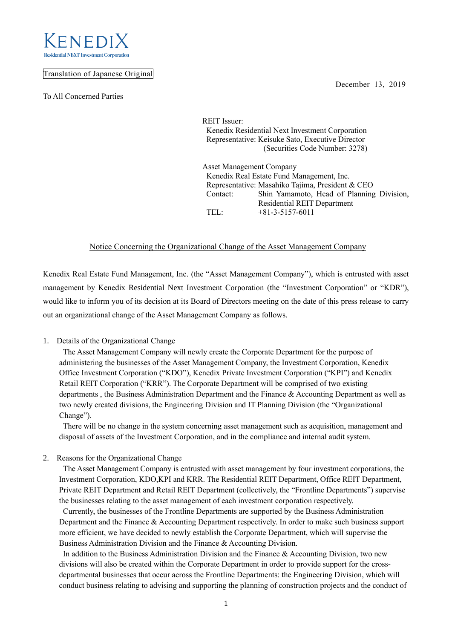

### Translation of Japanese Original

To All Concerned Parties

December 13, 2019

REIT Issuer: Kenedix Residential Next Investment Corporation Representative: Keisuke Sato, Executive Director (Securities Code Number: 3278)

Asset Management Company Kenedix Real Estate Fund Management, Inc. Representative: Masahiko Tajima, President & CEO Contact: Shin Yamamoto, Head of Planning Division, Residential REIT Department TEL: +81-3-5157-6011

## Notice Concerning the Organizational Change of the Asset Management Company

Kenedix Real Estate Fund Management, Inc. (the "Asset Management Company"), which is entrusted with asset management by Kenedix Residential Next Investment Corporation (the "Investment Corporation" or "KDR"), would like to inform you of its decision at its Board of Directors meeting on the date of this press release to carry out an organizational change of the Asset Management Company as follows.

#### 1. Details of the Organizational Change

The Asset Management Company will newly create the Corporate Department for the purpose of administering the businesses of the Asset Management Company, the Investment Corporation, Kenedix Office Investment Corporation ("KDO"), Kenedix Private Investment Corporation ("KPI") and Kenedix Retail REIT Corporation ("KRR"). The Corporate Department will be comprised of two existing departments , the Business Administration Department and the Finance & Accounting Department as well as two newly created divisions, the Engineering Division and IT Planning Division (the "Organizational Change").

There will be no change in the system concerning asset management such as acquisition, management and disposal of assets of the Investment Corporation, and in the compliance and internal audit system.

#### 2. Reasons for the Organizational Change

The Asset Management Company is entrusted with asset management by four investment corporations, the Investment Corporation, KDO,KPI and KRR. The Residential REIT Department, Office REIT Department, Private REIT Department and Retail REIT Department (collectively, the "Frontline Departments") supervise the businesses relating to the asset management of each investment corporation respectively.

Currently, the businesses of the Frontline Departments are supported by the Business Administration Department and the Finance & Accounting Department respectively. In order to make such business support more efficient, we have decided to newly establish the Corporate Department, which will supervise the Business Administration Division and the Finance & Accounting Division.

In addition to the Business Administration Division and the Finance & Accounting Division, two new divisions will also be created within the Corporate Department in order to provide support for the crossdepartmental businesses that occur across the Frontline Departments: the Engineering Division, which will conduct business relating to advising and supporting the planning of construction projects and the conduct of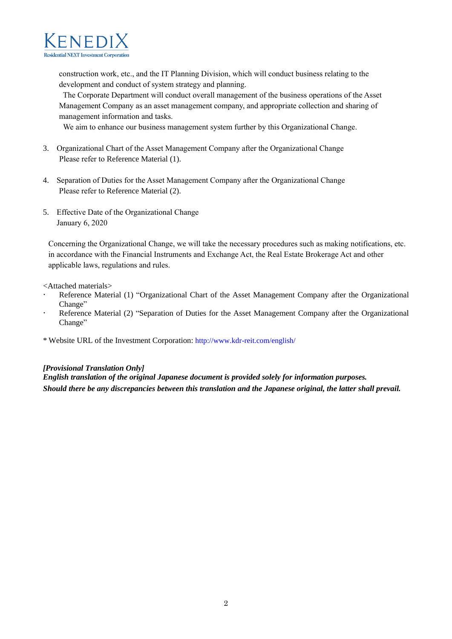

construction work, etc., and the IT Planning Division, which will conduct business relating to the development and conduct of system strategy and planning.

The Corporate Department will conduct overall management of the business operations of the Asset Management Company as an asset management company, and appropriate collection and sharing of management information and tasks.

We aim to enhance our business management system further by this Organizational Change.

- 3. Organizational Chart of the Asset Management Company after the Organizational Change Please refer to Reference Material (1).
- 4. Separation of Duties for the Asset Management Company after the Organizational Change Please refer to Reference Material (2).
- 5. Effective Date of the Organizational Change January 6, 2020

Concerning the Organizational Change, we will take the necessary procedures such as making notifications, etc. in accordance with the Financial Instruments and Exchange Act, the Real Estate Brokerage Act and other applicable laws, regulations and rules.

<Attached materials>

- Reference Material (1) "Organizational Chart of the Asset Management Company after the Organizational Change"
- Reference Material (2) "Separation of Duties for the Asset Management Company after the Organizational Change"
- \* Website URL of the Investment Corporation: http://www.kdr-reit.com/english/

#### *[Provisional Translation Only]*

*English translation of the original Japanese document is provided solely for information purposes. Should there be any discrepancies between this translation and the Japanese original, the latter shall prevail.*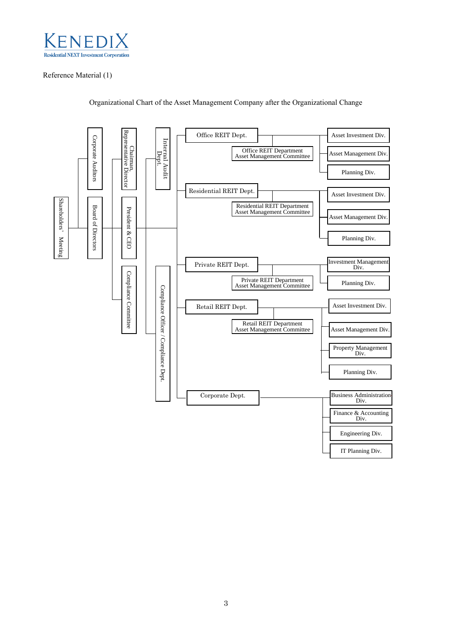

### Reference Material (1)



Organizational Chart of the Asset Management Company after the Organizational Change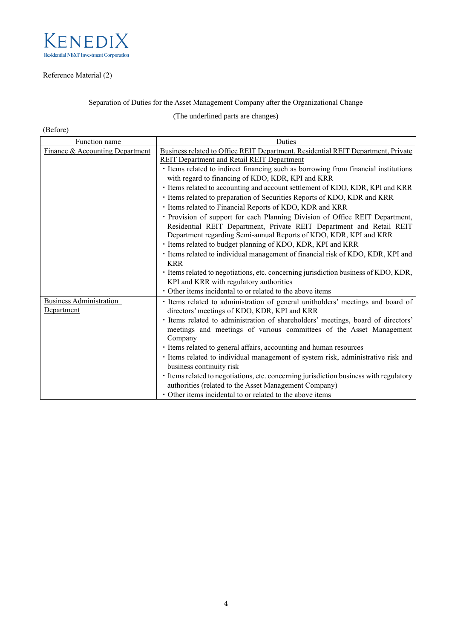

# Reference Material (2)

Separation of Duties for the Asset Management Company after the Organizational Change

(The underlined parts are changes)

# (Before)

| Function name                   | Duties                                                                                 |
|---------------------------------|----------------------------------------------------------------------------------------|
| Finance & Accounting Department | Business related to Office REIT Department, Residential REIT Department, Private       |
|                                 | <b>REIT Department and Retail REIT Department</b>                                      |
|                                 | · Items related to indirect financing such as borrowing from financial institutions    |
|                                 | with regard to financing of KDO, KDR, KPI and KRR                                      |
|                                 | · Items related to accounting and account settlement of KDO, KDR, KPI and KRR          |
|                                 | · Items related to preparation of Securities Reports of KDO, KDR and KRR               |
|                                 | · Items related to Financial Reports of KDO, KDR and KRR                               |
|                                 | · Provision of support for each Planning Division of Office REIT Department,           |
|                                 | Residential REIT Department, Private REIT Department and Retail REIT                   |
|                                 | Department regarding Semi-annual Reports of KDO, KDR, KPI and KRR                      |
|                                 | · Items related to budget planning of KDO, KDR, KPI and KRR                            |
|                                 | · Items related to individual management of financial risk of KDO, KDR, KPI and        |
|                                 | <b>KRR</b>                                                                             |
|                                 | · Items related to negotiations, etc. concerning jurisdiction business of KDO, KDR,    |
|                                 | KPI and KRR with regulatory authorities                                                |
|                                 | • Other items incidental to or related to the above items                              |
| <b>Business Administration</b>  | · Items related to administration of general unitholders' meetings and board of        |
| Department                      | directors' meetings of KDO, KDR, KPI and KRR                                           |
|                                 | · Items related to administration of shareholders' meetings, board of directors'       |
|                                 | meetings and meetings of various committees of the Asset Management                    |
|                                 | Company                                                                                |
|                                 | · Items related to general affairs, accounting and human resources                     |
|                                 | · Items related to individual management of system risk, administrative risk and       |
|                                 | business continuity risk                                                               |
|                                 | · Items related to negotiations, etc. concerning jurisdiction business with regulatory |
|                                 | authorities (related to the Asset Management Company)                                  |
|                                 | • Other items incidental to or related to the above items                              |